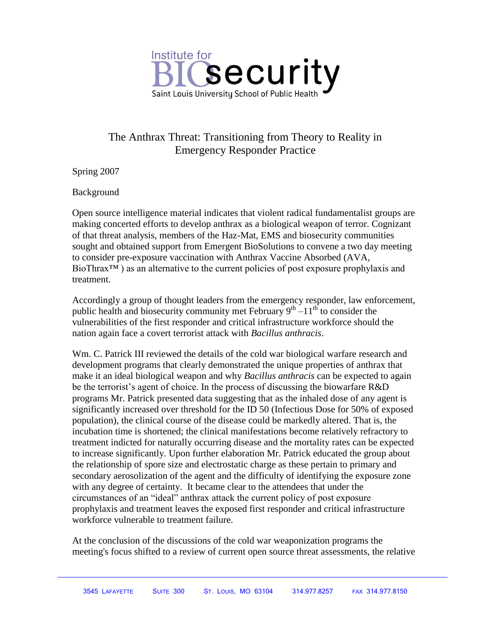

## The Anthrax Threat: Transitioning from Theory to Reality in Emergency Responder Practice

Spring 2007

Background

Open source intelligence material indicates that violent radical fundamentalist groups are making concerted efforts to develop anthrax as a biological weapon of terror. Cognizant of that threat analysis, members of the Haz-Mat, EMS and biosecurity communities sought and obtained support from Emergent BioSolutions to convene a two day meeting to consider pre-exposure vaccination with Anthrax Vaccine Absorbed (AVA, BioThrax™ ) as an alternative to the current policies of post exposure prophylaxis and treatment.

Accordingly a group of thought leaders from the emergency responder, law enforcement, public health and biosecurity community met February  $9<sup>th</sup> - 11<sup>th</sup>$  to consider the vulnerabilities of the first responder and critical infrastructure workforce should the nation again face a covert terrorist attack with *Bacillus anthracis*.

Wm. C. Patrick III reviewed the details of the cold war biological warfare research and development programs that clearly demonstrated the unique properties of anthrax that make it an ideal biological weapon and why *Bacillus anthracis* can be expected to again be the terrorist's agent of choice. In the process of discussing the biowarfare R&D programs Mr. Patrick presented data suggesting that as the inhaled dose of any agent is significantly increased over threshold for the ID 50 (Infectious Dose for 50% of exposed population), the clinical course of the disease could be markedly altered. That is, the incubation time is shortened; the clinical manifestations become relatively refractory to treatment indicted for naturally occurring disease and the mortality rates can be expected to increase significantly. Upon further elaboration Mr. Patrick educated the group about the relationship of spore size and electrostatic charge as these pertain to primary and secondary aerosolization of the agent and the difficulty of identifying the exposure zone with any degree of certainty. It became clear to the attendees that under the circumstances of an "ideal" anthrax attack the current policy of post exposure prophylaxis and treatment leaves the exposed first responder and critical infrastructure workforce vulnerable to treatment failure.

At the conclusion of the discussions of the cold war weaponization programs the meeting's focus shifted to a review of current open source threat assessments, the relative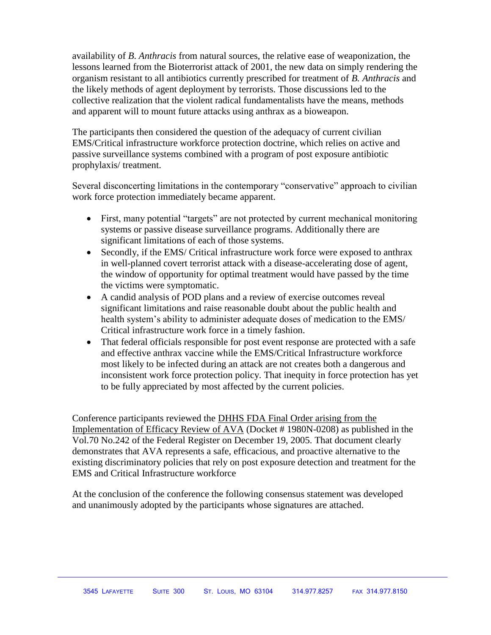availability of *B*. *Anthracis* from natural sources*,* the relative ease of weaponization, the lessons learned from the Bioterrorist attack of 2001, the new data on simply rendering the organism resistant to all antibiotics currently prescribed for treatment of *B. Anthracis* and the likely methods of agent deployment by terrorists. Those discussions led to the collective realization that the violent radical fundamentalists have the means, methods and apparent will to mount future attacks using anthrax as a bioweapon.

The participants then considered the question of the adequacy of current civilian EMS/Critical infrastructure workforce protection doctrine, which relies on active and passive surveillance systems combined with a program of post exposure antibiotic prophylaxis/ treatment.

Several disconcerting limitations in the contemporary "conservative" approach to civilian work force protection immediately became apparent.

- First, many potential "targets" are not protected by current mechanical monitoring systems or passive disease surveillance programs. Additionally there are significant limitations of each of those systems.
- Secondly, if the EMS/ Critical infrastructure work force were exposed to anthrax in well-planned covert terrorist attack with a disease-accelerating dose of agent, the window of opportunity for optimal treatment would have passed by the time the victims were symptomatic.
- A candid analysis of POD plans and a review of exercise outcomes reveal significant limitations and raise reasonable doubt about the public health and health system's ability to administer adequate doses of medication to the EMS/ Critical infrastructure work force in a timely fashion.
- That federal officials responsible for post event response are protected with a safe and effective anthrax vaccine while the EMS/Critical Infrastructure workforce most likely to be infected during an attack are not creates both a dangerous and inconsistent work force protection policy. That inequity in force protection has yet to be fully appreciated by most affected by the current policies.

Conference participants reviewed the DHHS FDA Final Order arising from the Implementation of Efficacy Review of AVA (Docket # 1980N-0208) as published in the Vol.70 No.242 of the Federal Register on December 19, 2005. That document clearly demonstrates that AVA represents a safe, efficacious, and proactive alternative to the existing discriminatory policies that rely on post exposure detection and treatment for the EMS and Critical Infrastructure workforce

At the conclusion of the conference the following consensus statement was developed and unanimously adopted by the participants whose signatures are attached.